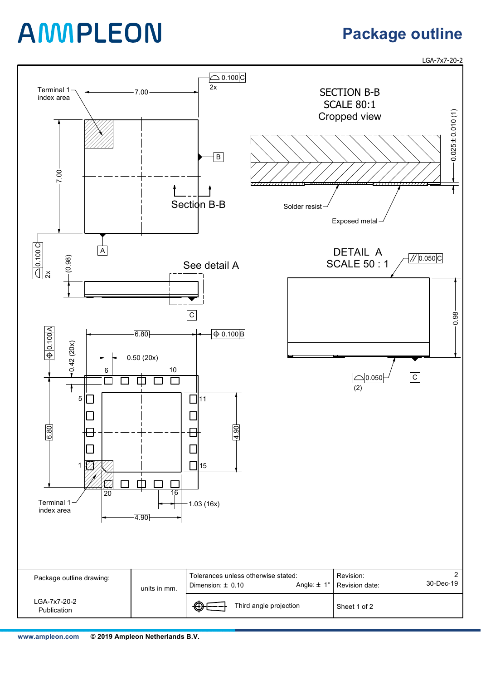**www.ampleon.com 2019 Ampleon Netherlands B.V.**

# AMMPLEON

## **Package outline**

LGA-7x7-20-2

|                             | 4.90         |                                                                                 |                                               |
|-----------------------------|--------------|---------------------------------------------------------------------------------|-----------------------------------------------|
|                             |              |                                                                                 |                                               |
|                             |              |                                                                                 |                                               |
| Package outline drawing:    | units in mm. | Tolerances unless otherwise stated:<br>Angle: $\pm$ 1°<br>Dimension: $\pm$ 0.10 | റ<br>Revision:<br>30-Dec-19<br>Revision date: |
| LGA-7x7-20-2<br>Publication |              | $\bigoplus$<br>Third angle projection                                           | Sheet 1 of 2                                  |